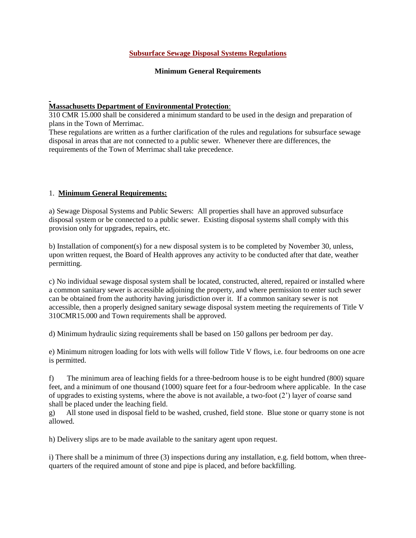#### **Subsurface Sewage Disposal Systems Regulations**

#### **Minimum General Requirements**

#### **Massachusetts Department of Environmental Protection**:

310 CMR 15.000 shall be considered a minimum standard to be used in the design and preparation of plans in the Town of Merrimac.

These regulations are written as a further clarification of the rules and regulations for subsurface sewage disposal in areas that are not connected to a public sewer. Whenever there are differences, the requirements of the Town of Merrimac shall take precedence.

#### 1. **Minimum General Requirements:**

a) Sewage Disposal Systems and Public Sewers: All properties shall have an approved subsurface disposal system or be connected to a public sewer. Existing disposal systems shall comply with this provision only for upgrades, repairs, etc.

b) Installation of component(s) for a new disposal system is to be completed by November 30, unless, upon written request, the Board of Health approves any activity to be conducted after that date, weather permitting.

c) No individual sewage disposal system shall be located, constructed, altered, repaired or installed where a common sanitary sewer is accessible adjoining the property, and where permission to enter such sewer can be obtained from the authority having jurisdiction over it. If a common sanitary sewer is not accessible, then a properly designed sanitary sewage disposal system meeting the requirements of Title V 310CMR15.000 and Town requirements shall be approved.

d) Minimum hydraulic sizing requirements shall be based on 150 gallons per bedroom per day.

e) Minimum nitrogen loading for lots with wells will follow Title V flows, i.e. four bedrooms on one acre is permitted.

f) The minimum area of leaching fields for a three-bedroom house is to be eight hundred (800) square feet, and a minimum of one thousand (1000) square feet for a four-bedroom where applicable. In the case of upgrades to existing systems, where the above is not available, a two-foot (2') layer of coarse sand shall be placed under the leaching field.

g) All stone used in disposal field to be washed, crushed, field stone. Blue stone or quarry stone is not allowed.

h) Delivery slips are to be made available to the sanitary agent upon request.

i) There shall be a minimum of three (3) inspections during any installation, e.g. field bottom, when threequarters of the required amount of stone and pipe is placed, and before backfilling.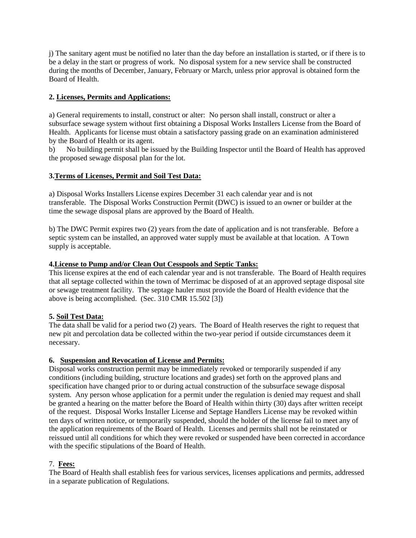j) The sanitary agent must be notified no later than the day before an installation is started, or if there is to be a delay in the start or progress of work. No disposal system for a new service shall be constructed during the months of December, January, February or March, unless prior approval is obtained form the Board of Health.

## **2. Licenses, Permits and Applications:**

a) General requirements to install, construct or alter: No person shall install, construct or alter a subsurface sewage system without first obtaining a Disposal Works Installers License from the Board of Health. Applicants for license must obtain a satisfactory passing grade on an examination administered by the Board of Health or its agent.

b) No building permit shall be issued by the Building Inspector until the Board of Health has approved the proposed sewage disposal plan for the lot.

## **3.Terms of Licenses, Permit and Soil Test Data:**

a) Disposal Works Installers License expires December 31 each calendar year and is not transferable. The Disposal Works Construction Permit (DWC) is issued to an owner or builder at the time the sewage disposal plans are approved by the Board of Health.

b) The DWC Permit expires two (2) years from the date of application and is not transferable. Before a septic system can be installed, an approved water supply must be available at that location. A Town supply is acceptable.

#### **4.License to Pump and/or Clean Out Cesspools and Septic Tanks:**

This license expires at the end of each calendar year and is not transferable. The Board of Health requires that all septage collected within the town of Merrimac be disposed of at an approved septage disposal site or sewage treatment facility. The septage hauler must provide the Board of Health evidence that the above is being accomplished. (Sec. 310 CMR 15.502 [3])

## **5. Soil Test Data:**

The data shall be valid for a period two (2) years. The Board of Health reserves the right to request that new pit and percolation data be collected within the two-year period if outside circumstances deem it necessary.

## **6. Suspension and Revocation of License and Permits:**

Disposal works construction permit may be immediately revoked or temporarily suspended if any conditions (including building, structure locations and grades) set forth on the approved plans and specification have changed prior to or during actual construction of the subsurface sewage disposal system. Any person whose application for a permit under the regulation is denied may request and shall be granted a hearing on the matter before the Board of Health within thirty (30) days after written receipt of the request. Disposal Works Installer License and Septage Handlers License may be revoked within ten days of written notice, or temporarily suspended, should the holder of the license fail to meet any of the application requirements of the Board of Health. Licenses and permits shall not be reinstated or reissued until all conditions for which they were revoked or suspended have been corrected in accordance with the specific stipulations of the Board of Health.

#### 7. **Fees:**

The Board of Health shall establish fees for various services, licenses applications and permits, addressed in a separate publication of Regulations.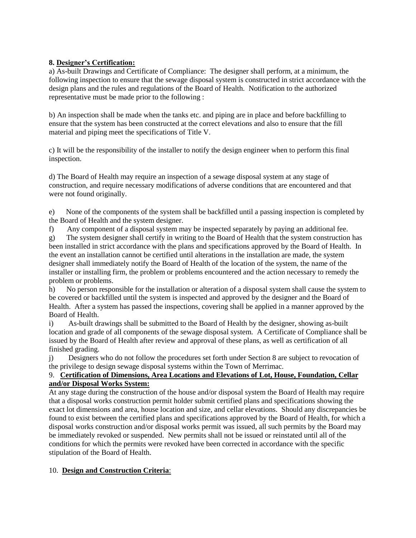#### **8. Designer's Certification:**

a) As-built Drawings and Certificate of Compliance: The designer shall perform, at a minimum, the following inspection to ensure that the sewage disposal system is constructed in strict accordance with the design plans and the rules and regulations of the Board of Health. Notification to the authorized representative must be made prior to the following :

b) An inspection shall be made when the tanks etc. and piping are in place and before backfilling to ensure that the system has been constructed at the correct elevations and also to ensure that the fill material and piping meet the specifications of Title V.

c) It will be the responsibility of the installer to notify the design engineer when to perform this final inspection.

d) The Board of Health may require an inspection of a sewage disposal system at any stage of construction, and require necessary modifications of adverse conditions that are encountered and that were not found originally.

e) None of the components of the system shall be backfilled until a passing inspection is completed by the Board of Health and the system designer.

f) Any component of a disposal system may be inspected separately by paying an additional fee.

g) The system designer shall certify in writing to the Board of Health that the system construction has been installed in strict accordance with the plans and specifications approved by the Board of Health. In the event an installation cannot be certified until alterations in the installation are made, the system designer shall immediately notify the Board of Health of the location of the system, the name of the installer or installing firm, the problem or problems encountered and the action necessary to remedy the problem or problems.

h) No person responsible for the installation or alteration of a disposal system shall cause the system to be covered or backfilled until the system is inspected and approved by the designer and the Board of Health. After a system has passed the inspections, covering shall be applied in a manner approved by the Board of Health.

i) As-built drawings shall be submitted to the Board of Health by the designer, showing as-built location and grade of all components of the sewage disposal system. A Certificate of Compliance shall be issued by the Board of Health after review and approval of these plans, as well as certification of all finished grading.

j) Designers who do not follow the procedures set forth under Section 8 are subject to revocation of the privilege to design sewage disposal systems within the Town of Merrimac.

## 9. **Certification of Dimensions, Area Locations and Elevations of Lot, House, Foundation, Cellar and/or Disposal Works System:**

At any stage during the construction of the house and/or disposal system the Board of Health may require that a disposal works construction permit holder submit certified plans and specifications showing the exact lot dimensions and area, house location and size, and cellar elevations. Should any discrepancies be found to exist between the certified plans and specifications approved by the Board of Health, for which a disposal works construction and/or disposal works permit was issued, all such permits by the Board may be immediately revoked or suspended. New permits shall not be issued or reinstated until all of the conditions for which the permits were revoked have been corrected in accordance with the specific stipulation of the Board of Health.

## 10. **Design and Construction Criteria**: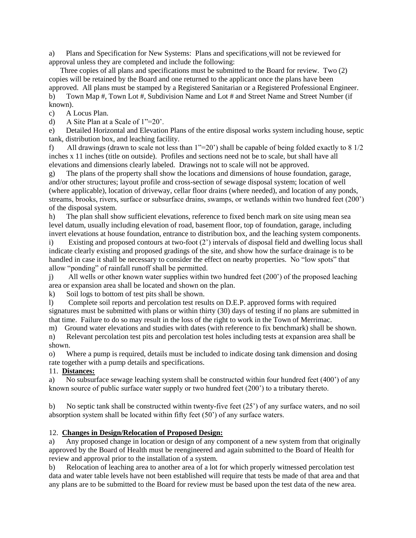a) Plans and Specification for New Systems: Plans and specifications will not be reviewed for approval unless they are completed and include the following:

 Three copies of all plans and specifications must be submitted to the Board for review. Two (2) copies will be retained by the Board and one returned to the applicant once the plans have been approved. All plans must be stamped by a Registered Sanitarian or a Registered Professional Engineer.

b) Town Map #, Town Lot #, Subdivision Name and Lot # and Street Name and Street Number (if known).

c) A Locus Plan.

d) A Site Plan at a Scale of 1"=20'.

e) Detailed Horizontal and Elevation Plans of the entire disposal works system including house, septic tank, distribution box, and leaching facility.

f) All drawings (drawn to scale not less than 1"=20') shall be capable of being folded exactly to 8 1/2 inches x 11 inches (title on outside). Profiles and sections need not be to scale, but shall have all elevations and dimensions clearly labeled. Drawings not to scale will not be approved.

g) The plans of the property shall show the locations and dimensions of house foundation, garage, and/or other structures; layout profile and cross-section of sewage disposal system; location of well (where applicable), location of driveway, cellar floor drains (where needed), and location of any ponds, streams, brooks, rivers, surface or subsurface drains, swamps, or wetlands within two hundred feet (200') of the disposal system.

h) The plan shall show sufficient elevations, reference to fixed bench mark on site using mean sea level datum, usually including elevation of road, basement floor, top of foundation, garage, including invert elevations at house foundation, entrance to distribution box, and the leaching system components.

i) Existing and proposed contours at two-foot (2') intervals of disposal field and dwelling locus shall indicate clearly existing and proposed gradings of the site, and show how the surface drainage is to be handled in case it shall be necessary to consider the effect on nearby properties. No "low spots" that allow "ponding" of rainfall runoff shall be permitted.

j) All wells or other known water supplies within two hundred feet (200') of the proposed leaching area or expansion area shall be located and shown on the plan.

k) Soil logs to bottom of test pits shall be shown.

l) Complete soil reports and percolation test results on D.E.P. approved forms with required signatures must be submitted with plans or within thirty (30) days of testing if no plans are submitted in that time. Failure to do so may result in the loss of the right to work in the Town of Merrimac.

m) Ground water elevations and studies with dates (with reference to fix benchmark) shall be shown.

n) Relevant percolation test pits and percolation test holes including tests at expansion area shall be shown.

o) Where a pump is required, details must be included to indicate dosing tank dimension and dosing rate together with a pump details and specifications.

## 11. **Distances:**

a) No subsurface sewage leaching system shall be constructed within four hundred feet (400') of any known source of public surface water supply or two hundred feet (200') to a tributary thereto.

b) No septic tank shall be constructed within twenty-five feet (25') of any surface waters, and no soil absorption system shall be located within fifty feet (50') of any surface waters.

## 12. **Changes in Design/Relocation of Proposed Design:**

a) Any proposed change in location or design of any component of a new system from that originally approved by the Board of Health must be reengineered and again submitted to the Board of Health for review and approval prior to the installation of a system.

b) Relocation of leaching area to another area of a lot for which properly witnessed percolation test data and water table levels have not been established will require that tests be made of that area and that any plans are to be submitted to the Board for review must be based upon the test data of the new area.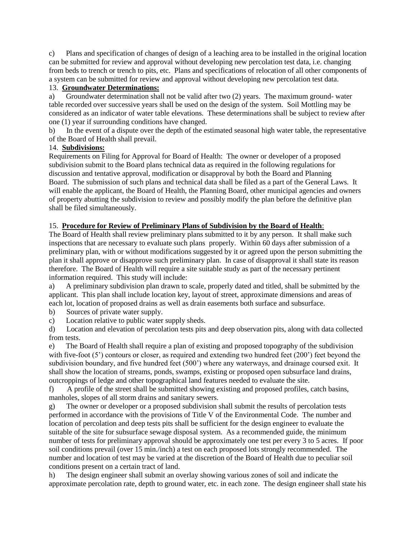c) Plans and specification of changes of design of a leaching area to be installed in the original location can be submitted for review and approval without developing new percolation test data, i.e. changing from beds to trench or trench to pits, etc. Plans and specifications of relocation of all other components of a system can be submitted for review and approval without developing new percolation test data.

#### 13. **Groundwater Determinations:**

a) Groundwater determination shall not be valid after two (2) years. The maximum ground- water table recorded over successive years shall be used on the design of the system. Soil Mottling may be considered as an indicator of water table elevations. These determinations shall be subject to review after one (1) year if surrounding conditions have changed.

b) In the event of a dispute over the depth of the estimated seasonal high water table, the representative of the Board of Health shall prevail.

#### 14. **Subdivisions:**

Requirements on Filing for Approval for Board of Health: The owner or developer of a proposed subdivision submit to the Board plans technical data as required in the following regulations for discussion and tentative approval, modification or disapproval by both the Board and Planning Board. The submission of such plans and technical data shall be filed as a part of the General Laws. It will enable the applicant, the Board of Health, the Planning Board, other municipal agencies and owners of property abutting the subdivision to review and possibly modify the plan before the definitive plan shall be filed simultaneously.

## 15. **Procedure for Review of Preliminary Plans of Subdivision by the Board of Health**:

The Board of Health shall review preliminary plans submitted to it by any person. It shall make such inspections that are necessary to evaluate such plans properly. Within 60 days after submission of a preliminary plan, with or without modifications suggested by it or agreed upon the person submitting the plan it shall approve or disapprove such preliminary plan. In case of disapproval it shall state its reason therefore. The Board of Health will require a site suitable study as part of the necessary pertinent information required. This study will include:

a) A preliminary subdivision plan drawn to scale, properly dated and titled, shall be submitted by the applicant. This plan shall include location key, layout of street, approximate dimensions and areas of each lot, location of proposed drains as well as drain easements both surface and subsurface.

b) Sources of private water supply.

c) Location relative to public water supply sheds.

d) Location and elevation of percolation tests pits and deep observation pits, along with data collected from tests.

e) The Board of Health shall require a plan of existing and proposed topography of the subdivision with five-foot (5') contours or closer, as required and extending two hundred feet (200') feet beyond the subdivision boundary, and five hundred feet (500') where any waterways, and drainage coursed exit. It shall show the location of streams, ponds, swamps, existing or proposed open subsurface land drains, outcroppings of ledge and other topographical land features needed to evaluate the site.

f) A profile of the street shall be submitted showing existing and proposed profiles, catch basins, manholes, slopes of all storm drains and sanitary sewers.

g) The owner or developer or a proposed subdivision shall submit the results of percolation tests performed in accordance with the provisions of Title V of the Environmental Code. The number and location of percolation and deep tests pits shall be sufficient for the design engineer to evaluate the suitable of the site for subsurface sewage disposal system. As a recommended guide, the minimum number of tests for preliminary approval should be approximately one test per every 3 to 5 acres. If poor soil conditions prevail (over 15 min./inch) a test on each proposed lots strongly recommended. The number and location of test may be varied at the discretion of the Board of Health due to peculiar soil conditions present on a certain tract of land.

h) The design engineer shall submit an overlay showing various zones of soil and indicate the approximate percolation rate, depth to ground water, etc. in each zone. The design engineer shall state his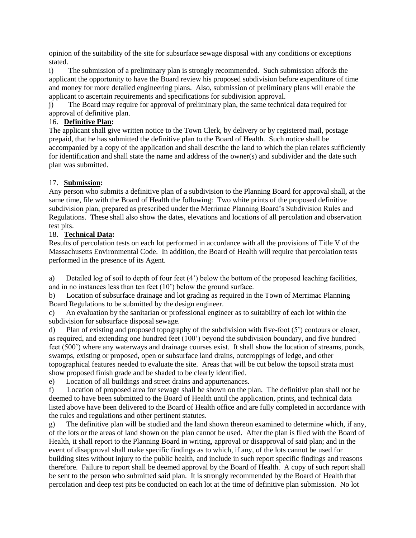opinion of the suitability of the site for subsurface sewage disposal with any conditions or exceptions stated.

i) The submission of a preliminary plan is strongly recommended. Such submission affords the applicant the opportunity to have the Board review his proposed subdivision before expenditure of time and money for more detailed engineering plans. Also, submission of preliminary plans will enable the applicant to ascertain requirements and specifications for subdivision approval.

j) The Board may require for approval of preliminary plan, the same technical data required for approval of definitive plan.

#### 16. **Definitive Plan:**

The applicant shall give written notice to the Town Clerk, by delivery or by registered mail, postage prepaid, that he has submitted the definitive plan to the Board of Health. Such notice shall be accompanied by a copy of the application and shall describe the land to which the plan relates sufficiently for identification and shall state the name and address of the owner(s) and subdivider and the date such plan was submitted.

## 17. **Submission:**

Any person who submits a definitive plan of a subdivision to the Planning Board for approval shall, at the same time, file with the Board of Health the following: Two white prints of the proposed definitive subdivision plan, prepared as prescribed under the Merrimac Planning Board's Subdivision Rules and Regulations. These shall also show the dates, elevations and locations of all percolation and observation test pits.

## 18. **Technical Data:**

Results of percolation tests on each lot performed in accordance with all the provisions of Title V of the Massachusetts Environmental Code. In addition, the Board of Health will require that percolation tests performed in the presence of its Agent.

a) Detailed log of soil to depth of four feet (4') below the bottom of the proposed leaching facilities, and in no instances less than ten feet (10') below the ground surface.

b) Location of subsurface drainage and lot grading as required in the Town of Merrimac Planning Board Regulations to be submitted by the design engineer.

c) An evaluation by the sanitarian or professional engineer as to suitability of each lot within the subdivision for subsurface disposal sewage.

d) Plan of existing and proposed topography of the subdivision with five-foot (5') contours or closer, as required, and extending one hundred feet (100') beyond the subdivision boundary, and five hundred feet (500') where any waterways and drainage courses exist. It shall show the location of streams, ponds, swamps, existing or proposed, open or subsurface land drains, outcroppings of ledge, and other topographical features needed to evaluate the site. Areas that will be cut below the topsoil strata must show proposed finish grade and be shaded to be clearly identified.

e) Location of all buildings and street drains and appurtenances.

f) Location of proposed area for sewage shall be shown on the plan. The definitive plan shall not be deemed to have been submitted to the Board of Health until the application, prints, and technical data listed above have been delivered to the Board of Health office and are fully completed in accordance with the rules and regulations and other pertinent statutes.

g) The definitive plan will be studied and the land shown thereon examined to determine which, if any, of the lots or the areas of land shown on the plan cannot be used. After the plan is filed with the Board of Health, it shall report to the Planning Board in writing, approval or disapproval of said plan; and in the event of disapproval shall make specific findings as to which, if any, of the lots cannot be used for building sites without injury to the public health, and include in such report specific findings and reasons therefore. Failure to report shall be deemed approval by the Board of Health. A copy of such report shall be sent to the person who submitted said plan. It is strongly recommended by the Board of Health that percolation and deep test pits be conducted on each lot at the time of definitive plan submission. No lot